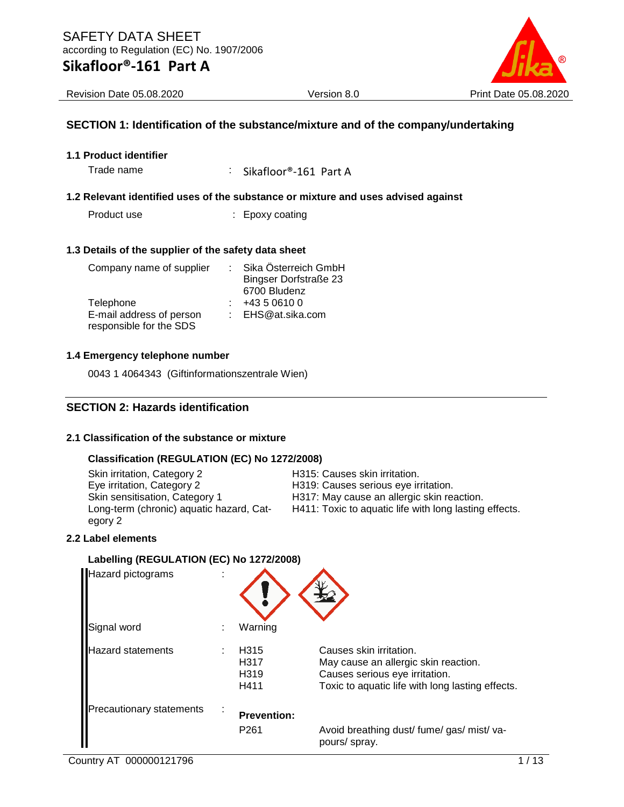

Revision Date 05.08.2020 Version 8.0 Print Date 05.08.2020

#### **SECTION 1: Identification of the substance/mixture and of the company/undertaking**

#### **1.1 Product identifier**

Trade name : Sikafloor®-161 Part A

#### **1.2 Relevant identified uses of the substance or mixture and uses advised against**

Product use : Epoxy coating

#### **1.3 Details of the supplier of the safety data sheet**

| Company name of supplier |  | Sika Österreich GmbH         |  |
|--------------------------|--|------------------------------|--|
|                          |  | <b>Bingser Dorfstraße 23</b> |  |
|                          |  | 6700 Bludenz                 |  |
| Telephone                |  | +43 5 0610 0                 |  |
| E-mail address of person |  | : EHS@at.sika.com            |  |
| responsible for the SDS  |  |                              |  |

#### **1.4 Emergency telephone number**

0043 1 4064343 (Giftinformationszentrale Wien)

#### **SECTION 2: Hazards identification**

#### **2.1 Classification of the substance or mixture**

#### **Classification (REGULATION (EC) No 1272/2008)**

| Skin irritation, Category 2              | H315: Causes skin irritation.                          |
|------------------------------------------|--------------------------------------------------------|
| Eye irritation, Category 2               | H319: Causes serious eye irritation.                   |
| Skin sensitisation, Category 1           | H317: May cause an allergic skin reaction.             |
| Long-term (chronic) aquatic hazard, Cat- | H411: Toxic to aquatic life with long lasting effects. |
| egory 2                                  |                                                        |

#### **2.2 Label elements**

#### **Labelling (REGULATION (EC) No 1272/2008)**

| Hazard pictograms        |                                          |                                                                                                                                                       |
|--------------------------|------------------------------------------|-------------------------------------------------------------------------------------------------------------------------------------------------------|
| Signal word              | Warning                                  |                                                                                                                                                       |
| Hazard statements        | H315<br>H317<br>H <sub>319</sub><br>H411 | Causes skin irritation.<br>May cause an allergic skin reaction.<br>Causes serious eye irritation.<br>Toxic to aquatic life with long lasting effects. |
| Precautionary statements | <b>Prevention:</b><br>P <sub>261</sub>   | Avoid breathing dust/ fume/ gas/ mist/ va-                                                                                                            |
|                          |                                          | pours/ spray.                                                                                                                                         |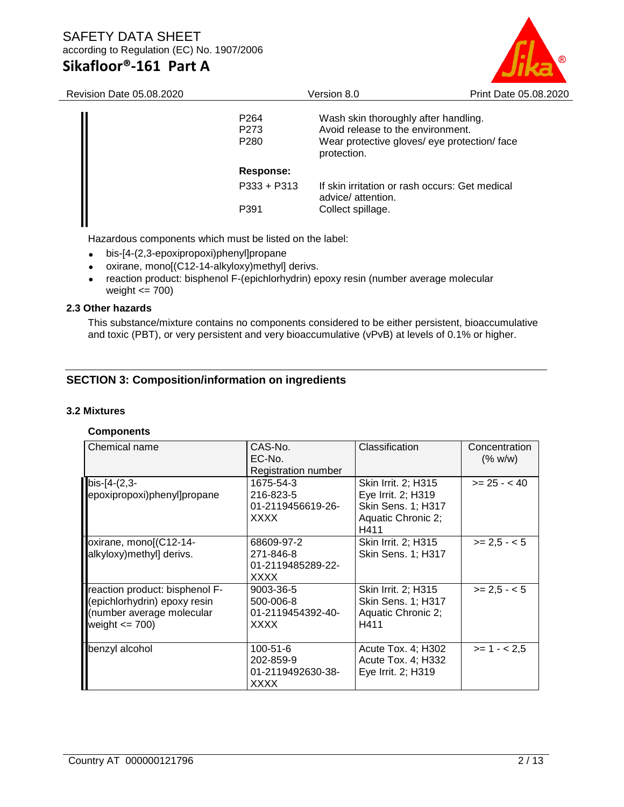# SAFETY DATA SHEET according to Regulation (EC) No. 1907/2006

# **Sikafloor®-161 Part A**



| Revision Date 05.08.2020 |                                                          | Version 8.0                                                                                                                              |  |  |
|--------------------------|----------------------------------------------------------|------------------------------------------------------------------------------------------------------------------------------------------|--|--|
|                          | P <sub>264</sub><br>P <sub>273</sub><br>P <sub>280</sub> | Wash skin thoroughly after handling.<br>Avoid release to the environment.<br>Wear protective gloves/ eye protection/ face<br>protection. |  |  |
|                          | Response:                                                |                                                                                                                                          |  |  |
|                          | $P333 + P313$                                            | If skin irritation or rash occurs: Get medical<br>advice/ attention.                                                                     |  |  |
|                          | P391                                                     | Collect spillage.                                                                                                                        |  |  |
|                          |                                                          |                                                                                                                                          |  |  |

Hazardous components which must be listed on the label:

- bis-[4-(2,3-epoxipropoxi)phenyl]propane
- oxirane, mono[(C12-14-alkyloxy)methyl] derivs.
- reaction product: bisphenol F-(epichlorhydrin) epoxy resin (number average molecular weight  $\leq$  700)

#### **2.3 Other hazards**

This substance/mixture contains no components considered to be either persistent, bioaccumulative and toxic (PBT), or very persistent and very bioaccumulative (vPvB) at levels of 0.1% or higher.

### **SECTION 3: Composition/information on ingredients**

#### **3.2 Mixtures**

#### **Components**

| Chemical name                                                                                                     | CAS-No.<br>EC-No.<br>Registration number                   | Classification                                                                                       | Concentration<br>(% w/w) |
|-------------------------------------------------------------------------------------------------------------------|------------------------------------------------------------|------------------------------------------------------------------------------------------------------|--------------------------|
| bis-[4-(2,3-<br>epoxipropoxi)phenyl]propane                                                                       | 1675-54-3<br>216-823-5<br>01-2119456619-26-<br><b>XXXX</b> | Skin Irrit. 2; H315<br>Eye Irrit. 2; H319<br><b>Skin Sens. 1; H317</b><br>Aquatic Chronic 2;<br>H411 | $>= 25 - 40$             |
| oxirane, mono[(C12-14-<br>alkyloxy)methyl] derivs.                                                                | 68609-97-2<br>271-846-8<br>01-2119485289-22-<br>XXXX       | Skin Irrit. 2; H315<br><b>Skin Sens. 1; H317</b>                                                     | $>= 2.5 - 5$             |
| reaction product: bisphenol F-<br>(epichlorhydrin) epoxy resin<br>(number average molecular<br>weight $\leq$ 700) | 9003-36-5<br>500-006-8<br>01-2119454392-40-<br><b>XXXX</b> | Skin Irrit. 2; H315<br>Skin Sens. 1; H317<br>Aquatic Chronic 2;<br>H411                              | $>= 2.5 - 5$             |
| benzyl alcohol                                                                                                    | $100 - 51 - 6$<br>202-859-9<br>01-2119492630-38-<br>XXXX   | Acute Tox. 4; H302<br>Acute Tox. 4; H332<br>Eye Irrit. 2; H319                                       | $>= 1 - 2.5$             |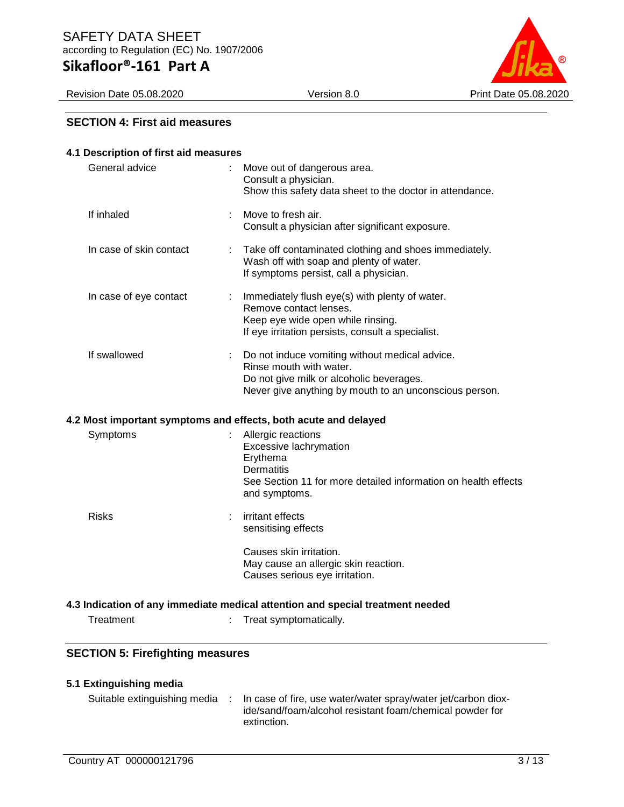Revision Date 05.08.2020 Version 8.0 Print Date 05.08.2020



#### **SECTION 4: First aid measures**

| 4.1 Description of first aid measures   |   |                                                                                                                                                                                 |
|-----------------------------------------|---|---------------------------------------------------------------------------------------------------------------------------------------------------------------------------------|
| General advice                          |   | Move out of dangerous area.<br>Consult a physician.<br>Show this safety data sheet to the doctor in attendance.                                                                 |
| If inhaled                              |   | Move to fresh air.<br>Consult a physician after significant exposure.                                                                                                           |
| In case of skin contact                 | ÷ | Take off contaminated clothing and shoes immediately.<br>Wash off with soap and plenty of water.<br>If symptoms persist, call a physician.                                      |
| In case of eye contact                  |   | Immediately flush eye(s) with plenty of water.<br>Remove contact lenses.<br>Keep eye wide open while rinsing.<br>If eye irritation persists, consult a specialist.              |
| If swallowed                            |   | Do not induce vomiting without medical advice.<br>Rinse mouth with water.<br>Do not give milk or alcoholic beverages.<br>Never give anything by mouth to an unconscious person. |
|                                         |   | 4.2 Most important symptoms and effects, both acute and delayed                                                                                                                 |
| Symptoms                                |   | Allergic reactions<br>Excessive lachrymation<br>Erythema<br><b>Dermatitis</b><br>See Section 11 for more detailed information on health effects<br>and symptoms.                |
| <b>Risks</b>                            |   | irritant effects<br>sensitising effects                                                                                                                                         |
|                                         |   | Causes skin irritation.<br>May cause an allergic skin reaction.<br>Causes serious eye irritation.                                                                               |
|                                         |   | 4.3 Indication of any immediate medical attention and special treatment needed                                                                                                  |
| Treatment                               |   | Treat symptomatically.                                                                                                                                                          |
| <b>SECTION 5: Firefighting measures</b> |   |                                                                                                                                                                                 |

| 5.1 Extinguishing media      |                                                                                                                                          |
|------------------------------|------------------------------------------------------------------------------------------------------------------------------------------|
| Suitable extinguishing media | In case of fire, use water/water spray/water jet/carbon diox-<br>ide/sand/foam/alcohol resistant foam/chemical powder for<br>extinction. |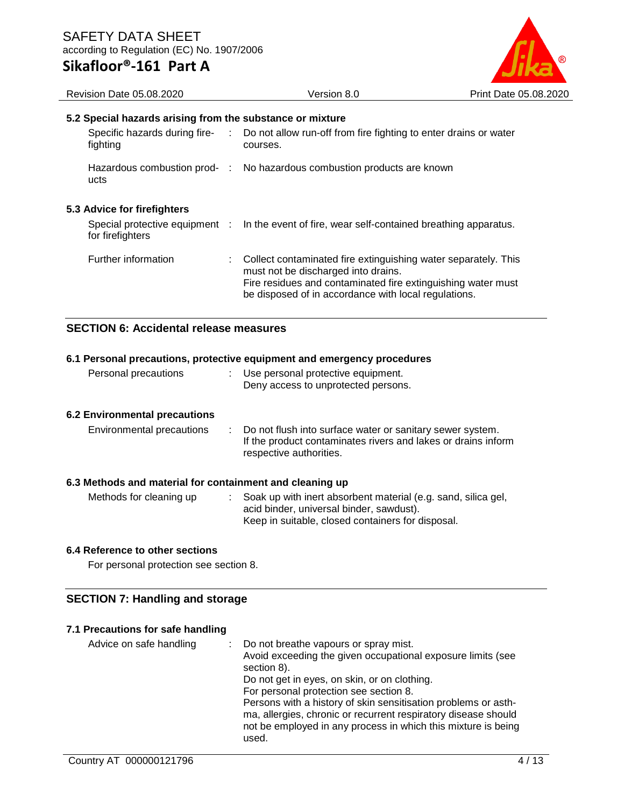

#### **5.2 Special hazards arising from the substance or mixture**

| fighting | Specific hazards during fire-                      | Do not allow run-off from fire fighting to enter drains or water<br>courses.                                                                                                                                                  |
|----------|----------------------------------------------------|-------------------------------------------------------------------------------------------------------------------------------------------------------------------------------------------------------------------------------|
| ucts     | Hazardous combustion prod- :                       | No hazardous combustion products are known                                                                                                                                                                                    |
|          | 5.3 Advice for firefighters                        |                                                                                                                                                                                                                               |
|          | Special protective equipment :<br>for firefighters | In the event of fire, wear self-contained breathing apparatus.                                                                                                                                                                |
|          | Further information                                | Collect contaminated fire extinguishing water separately. This<br>must not be discharged into drains.<br>Fire residues and contaminated fire extinguishing water must<br>be disposed of in accordance with local regulations. |

#### **SECTION 6: Accidental release measures**

#### **6.1 Personal precautions, protective equipment and emergency procedures** Personal precautions : Use personal protective equipment. Deny access to unprotected persons.

#### **6.2 Environmental precautions**

| Environmental precautions | Do not flush into surface water or sanitary sewer system.<br>If the product contaminates rivers and lakes or drains inform<br>respective authorities. |
|---------------------------|-------------------------------------------------------------------------------------------------------------------------------------------------------|
|---------------------------|-------------------------------------------------------------------------------------------------------------------------------------------------------|

#### **6.3 Methods and material for containment and cleaning up**

| Methods for cleaning up | Soak up with inert absorbent material (e.g. sand, silica gel, |
|-------------------------|---------------------------------------------------------------|
|                         | acid binder, universal binder, sawdust).                      |
|                         | Keep in suitable, closed containers for disposal.             |

#### **6.4 Reference to other sections**

For personal protection see section 8.

### **SECTION 7: Handling and storage**

#### **7.1 Precautions for safe handling**

| Advice on safe handling | Do not breathe vapours or spray mist.                                      |
|-------------------------|----------------------------------------------------------------------------|
|                         | Avoid exceeding the given occupational exposure limits (see<br>section 8). |
|                         | Do not get in eyes, on skin, or on clothing.                               |
|                         | For personal protection see section 8.                                     |
|                         | Persons with a history of skin sensitisation problems or asth-             |
|                         | ma, allergies, chronic or recurrent respiratory disease should             |
|                         | not be employed in any process in which this mixture is being              |
|                         | used.                                                                      |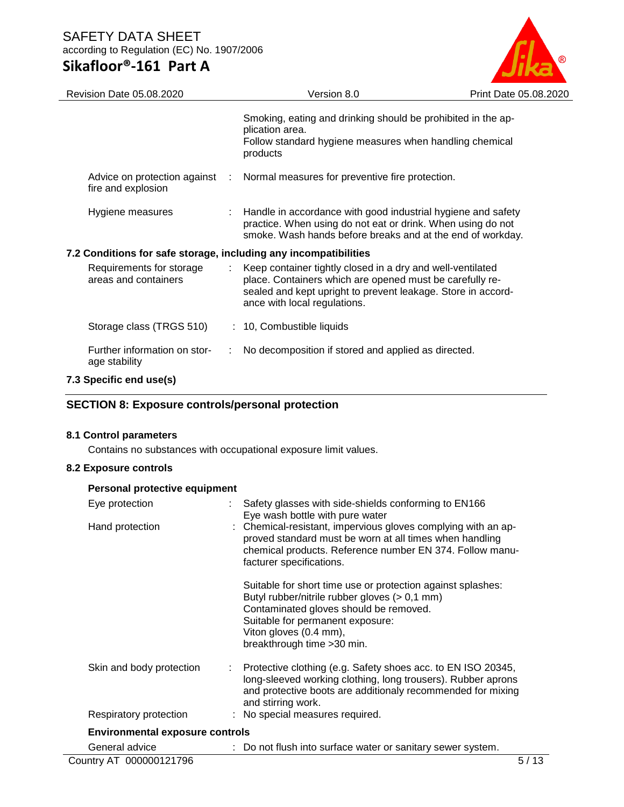# SAFETY DATA SHEET according to Regulation (EC) No. 1907/2006

# **Sikafloor®-161 Part A**



| Revision Date 05.08.2020                                         |             | Version 8.0                                                                                                                                                                                                            | Print Date 05.08.2020 |
|------------------------------------------------------------------|-------------|------------------------------------------------------------------------------------------------------------------------------------------------------------------------------------------------------------------------|-----------------------|
|                                                                  |             | Smoking, eating and drinking should be prohibited in the ap-<br>plication area.<br>Follow standard hygiene measures when handling chemical<br>products                                                                 |                       |
| Advice on protection against<br>fire and explosion               | $\sim 10^6$ | Normal measures for preventive fire protection.                                                                                                                                                                        |                       |
| Hygiene measures                                                 |             | : Handle in accordance with good industrial hygiene and safety<br>practice. When using do not eat or drink. When using do not<br>smoke. Wash hands before breaks and at the end of workday.                            |                       |
| 7.2 Conditions for safe storage, including any incompatibilities |             |                                                                                                                                                                                                                        |                       |
| Requirements for storage<br>areas and containers                 |             | Keep container tightly closed in a dry and well-ventilated<br>place. Containers which are opened must be carefully re-<br>sealed and kept upright to prevent leakage. Store in accord-<br>ance with local regulations. |                       |
| Storage class (TRGS 510)                                         |             | : 10, Combustible liquids                                                                                                                                                                                              |                       |
| Further information on stor-<br>age stability                    |             | No decomposition if stored and applied as directed.                                                                                                                                                                    |                       |
| 7.3 Specific end use(s)                                          |             |                                                                                                                                                                                                                        |                       |

# **SECTION 8: Exposure controls/personal protection**

#### **8.1 Control parameters**

Contains no substances with occupational exposure limit values.

#### **8.2 Exposure controls**

#### **Personal protective equipment**

| Eye protection                         | Safety glasses with side-shields conforming to EN166<br>Eye wash bottle with pure water                                                                                                                                                             |
|----------------------------------------|-----------------------------------------------------------------------------------------------------------------------------------------------------------------------------------------------------------------------------------------------------|
| Hand protection                        | : Chemical-resistant, impervious gloves complying with an ap-<br>proved standard must be worn at all times when handling<br>chemical products. Reference number EN 374. Follow manu-<br>facturer specifications.                                    |
|                                        | Suitable for short time use or protection against splashes:<br>Butyl rubber/nitrile rubber gloves (> 0,1 mm)<br>Contaminated gloves should be removed.<br>Suitable for permanent exposure:<br>Viton gloves (0.4 mm),<br>breakthrough time > 30 min. |
| Skin and body protection               | $\therefore$ Protective clothing (e.g. Safety shoes acc. to EN ISO 20345,<br>long-sleeved working clothing, long trousers). Rubber aprons<br>and protective boots are additionaly recommended for mixing<br>and stirring work.                      |
| Respiratory protection                 | : No special measures required.                                                                                                                                                                                                                     |
| <b>Environmental exposure controls</b> |                                                                                                                                                                                                                                                     |
| General advice                         | : Do not flush into surface water or sanitary sewer system.                                                                                                                                                                                         |
| Country AT 000000121796                | 5/13                                                                                                                                                                                                                                                |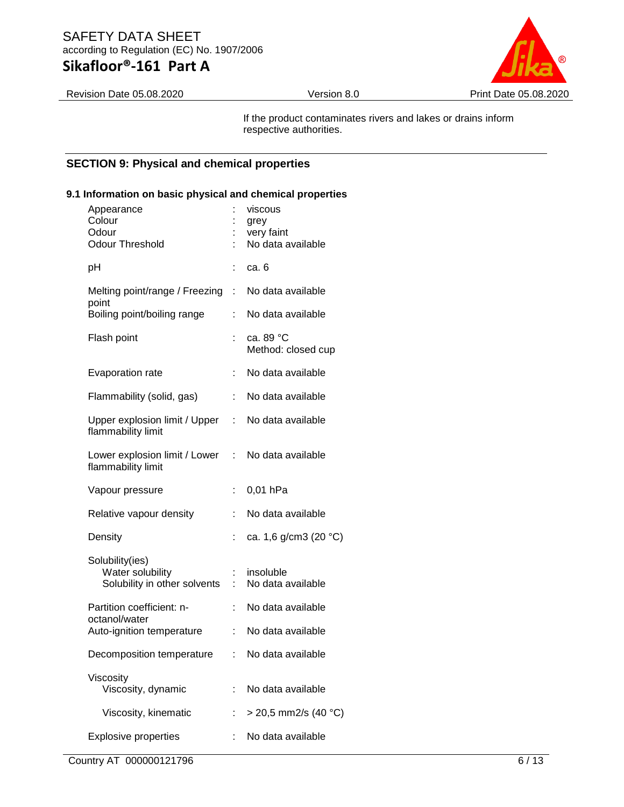Revision Date 05.08.2020 Version 8.0 Print Date 05.08.2020

If the product contaminates rivers and lakes or drains inform respective authorities.

#### **SECTION 9: Physical and chemical properties**

# Appearance : viscous Colour : grey Odour : very faint No data available pH : ca. 6 Melting point/range / Freezing : point : No data available Boiling point/boiling range : No data available Flash point : ca. 89 °C Method: closed cup Evaporation rate : No data available Flammability (solid, gas) : No data available Upper explosion limit / Upper flammability limit : No data available Lower explosion limit / Lower : flammability limit : No data available Vapour pressure : 0,01 hPa Relative vapour density : No data available Density : ca. 1,6 g/cm3 (20 °C) Solubility(ies) Water solubility **: insoluble** Solubility in other solvents : No data available Partition coefficient: noctanol/water : No data available Auto-ignition temperature : No data available Decomposition temperature : No data available Viscosity Viscosity, dynamic : No data available Viscosity, kinematic  $\therefore$  > 20,5 mm2/s (40 °C) Explosive properties : No data available

### **9.1 Information on basic physical and chemical properties**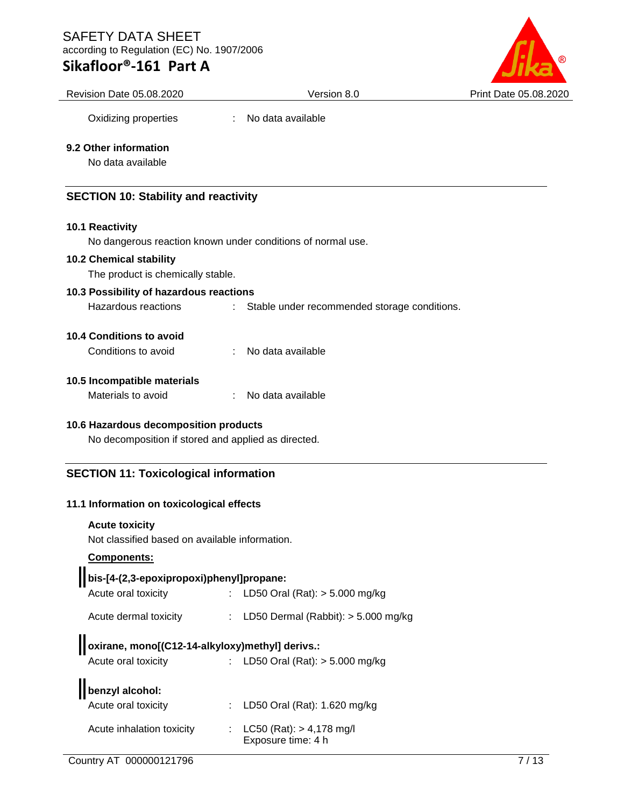### SAFETY DATA SHEET according to Regulation (EC) No. 1907/2006

# **Sikafloor®-161 Part A**



Revision Date 05.08.2020 Version 8.0 Print Date 05.08.2020

Oxidizing properties : No data available

#### **9.2 Other information**

No data available

### **SECTION 10: Stability and reactivity**

#### **10.1 Reactivity**

No dangerous reaction known under conditions of normal use.

#### **10.2 Chemical stability**

The product is chemically stable.

### **10.3 Possibility of hazardous reactions**

Hazardous reactions : Stable under recommended storage conditions.

#### **10.4 Conditions to avoid**

| Conditions to avoid |  | No data available |
|---------------------|--|-------------------|
|---------------------|--|-------------------|

#### **10.5 Incompatible materials**

| Materials to avoid |  | No data available |
|--------------------|--|-------------------|
|--------------------|--|-------------------|

#### **10.6 Hazardous decomposition products**

No decomposition if stored and applied as directed.

#### **SECTION 11: Toxicological information**

#### **11.1 Information on toxicological effects**

#### **Acute toxicity**

Not classified based on available information.

#### **Components:**

# **bis-[4-(2,3-epoxipropoxi)phenyl]propane:**

| Acute oral toxicity   | : LD50 Oral (Rat): $> 5.000$ mg/kg      |
|-----------------------|-----------------------------------------|
| Acute dermal toxicity | : LD50 Dermal (Rabbit): $>$ 5.000 mg/kg |
|                       |                                         |

# **oxirane, mono[(C12-14-alkyloxy)methyl] derivs.:**

| Acute oral toxicity | : LD50 Oral (Rat): > 5.000 mg/kg |
|---------------------|----------------------------------|
|                     |                                  |

| benzyl alcohol:             |
|-----------------------------|
| A contract and the state of |

 $\blacksquare$ 

| DENZYI dICONOL.           |                                                      |  |
|---------------------------|------------------------------------------------------|--|
| Acute oral toxicity       | : LD50 Oral (Rat): $1.620$ mg/kg                     |  |
| Acute inhalation toxicity | : $LC50$ (Rat): $> 4,178$ mg/l<br>Exposure time: 4 h |  |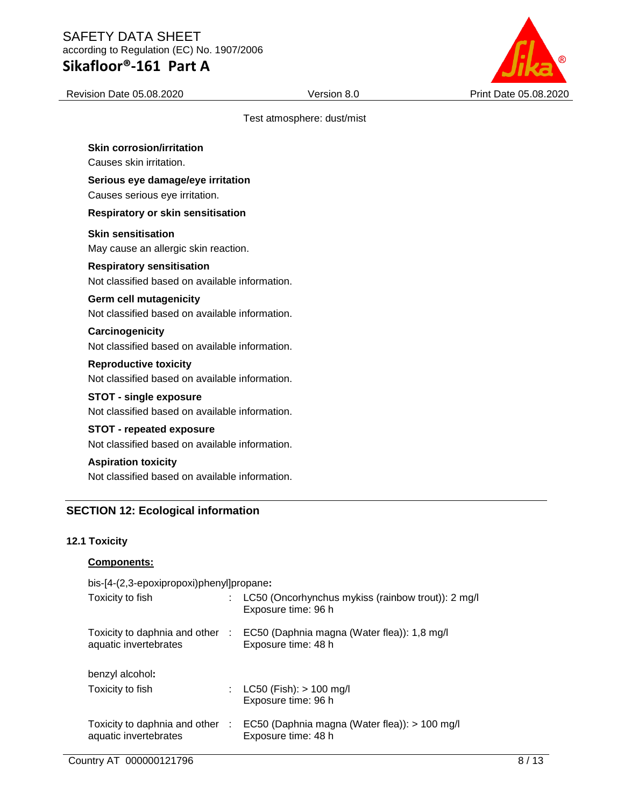Revision Date 05.08.2020 Version 8.0 Print Date 05.08.2020

#### Test atmosphere: dust/mist

**Skin corrosion/irritation** Causes skin irritation.

**Serious eye damage/eye irritation**

Causes serious eye irritation.

#### **Respiratory or skin sensitisation**

**Skin sensitisation**

May cause an allergic skin reaction.

#### **Respiratory sensitisation**

Not classified based on available information.

#### **Germ cell mutagenicity**

Not classified based on available information.

#### **Carcinogenicity**

Not classified based on available information.

# **Reproductive toxicity**

Not classified based on available information.

#### **STOT - single exposure**

Not classified based on available information.

#### **STOT - repeated exposure**

Not classified based on available information.

#### **Aspiration toxicity**

Not classified based on available information.

### **SECTION 12: Ecological information**

#### **12.1 Toxicity**

Country AT 000000121796 8/13 **Components:** bis-[4-(2,3-epoxipropoxi)phenyl]propane**:** Toxicity to fish : LC50 (Oncorhynchus mykiss (rainbow trout)): 2 mg/l Exposure time: 96 h Toxicity to daphnia and other : EC50 (Daphnia magna (Water flea)): 1,8 mg/l aquatic invertebrates Exposure time: 48 h benzyl alcohol**:** Toxicity to fish : LC50 (Fish): > 100 mg/l Exposure time: 96 h Toxicity to daphnia and other : EC50 (Daphnia magna (Water flea)): > 100 mg/l aquatic invertebrates Exposure time: 48 h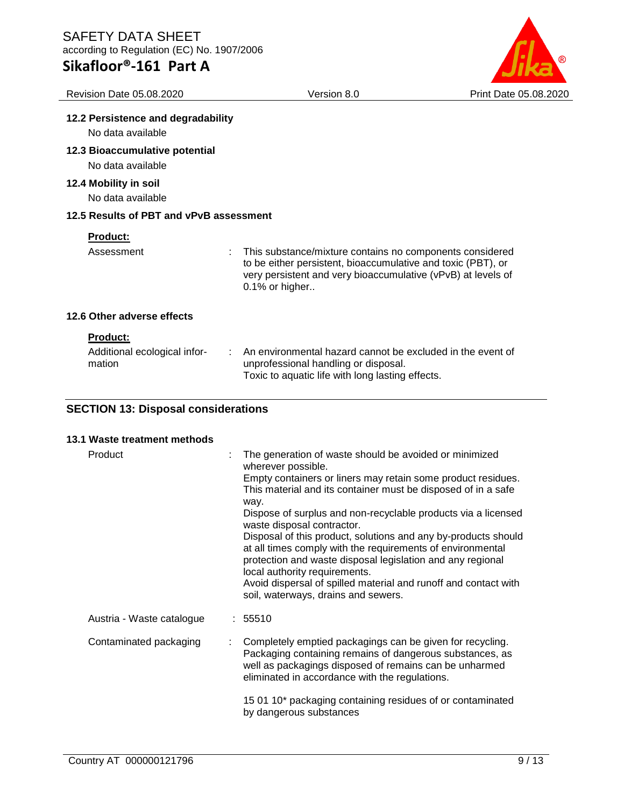

| <b>Revision Date 05.08.2020</b>                           | Version 8.0                                                                                                                                                                                                | Print Date 05.08.2020 |
|-----------------------------------------------------------|------------------------------------------------------------------------------------------------------------------------------------------------------------------------------------------------------------|-----------------------|
| 12.2 Persistence and degradability                        |                                                                                                                                                                                                            |                       |
| No data available                                         |                                                                                                                                                                                                            |                       |
| 12.3 Bioaccumulative potential<br>No data available       |                                                                                                                                                                                                            |                       |
| 12.4 Mobility in soil<br>No data available                |                                                                                                                                                                                                            |                       |
| 12.5 Results of PBT and vPvB assessment                   |                                                                                                                                                                                                            |                       |
| <b>Product:</b>                                           |                                                                                                                                                                                                            |                       |
| Assessment                                                | This substance/mixture contains no components considered<br>to be either persistent, bioaccumulative and toxic (PBT), or<br>very persistent and very bioaccumulative (vPvB) at levels of<br>0.1% or higher |                       |
| 12.6 Other adverse effects                                |                                                                                                                                                                                                            |                       |
| <b>Product:</b><br>Additional ecological infor-<br>mation | An environmental hazard cannot be excluded in the event of<br>unprofessional handling or disposal.<br>Toxic to aquatic life with long lasting effects.                                                     |                       |

# **SECTION 13: Disposal considerations**

| 13.1 Waste treatment methods |   |                                                                                                                                                                                                                                                                                                                                                                                                                                                                                                                                                                                                                                                               |
|------------------------------|---|---------------------------------------------------------------------------------------------------------------------------------------------------------------------------------------------------------------------------------------------------------------------------------------------------------------------------------------------------------------------------------------------------------------------------------------------------------------------------------------------------------------------------------------------------------------------------------------------------------------------------------------------------------------|
| Product                      | ÷ | The generation of waste should be avoided or minimized<br>wherever possible.<br>Empty containers or liners may retain some product residues.<br>This material and its container must be disposed of in a safe<br>way.<br>Dispose of surplus and non-recyclable products via a licensed<br>waste disposal contractor.<br>Disposal of this product, solutions and any by-products should<br>at all times comply with the requirements of environmental<br>protection and waste disposal legislation and any regional<br>local authority requirements.<br>Avoid dispersal of spilled material and runoff and contact with<br>soil, waterways, drains and sewers. |
| Austria - Waste catalogue    |   | : 55510                                                                                                                                                                                                                                                                                                                                                                                                                                                                                                                                                                                                                                                       |
| Contaminated packaging       |   | Completely emptied packagings can be given for recycling.<br>Packaging containing remains of dangerous substances, as<br>well as packagings disposed of remains can be unharmed<br>eliminated in accordance with the regulations.                                                                                                                                                                                                                                                                                                                                                                                                                             |
|                              |   | 15 01 10* packaging containing residues of or contaminated<br>by dangerous substances                                                                                                                                                                                                                                                                                                                                                                                                                                                                                                                                                                         |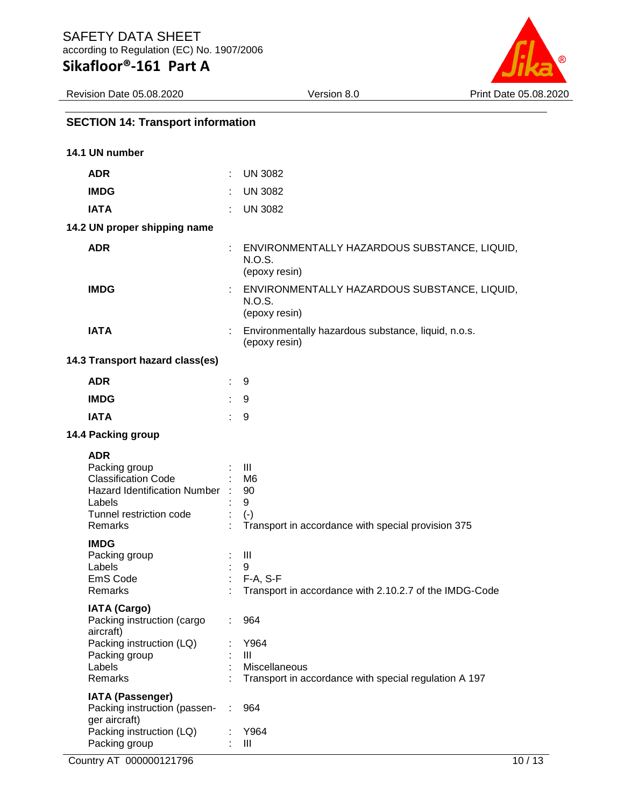

# **SECTION 14: Transport information**

| 14.1 UN number                   |                                                                                                                       |    |                                                                                                            |
|----------------------------------|-----------------------------------------------------------------------------------------------------------------------|----|------------------------------------------------------------------------------------------------------------|
| <b>ADR</b>                       |                                                                                                                       |    | <b>UN 3082</b>                                                                                             |
| <b>IMDG</b>                      |                                                                                                                       |    | <b>UN 3082</b>                                                                                             |
| <b>IATA</b>                      |                                                                                                                       |    | <b>UN 3082</b>                                                                                             |
|                                  | 14.2 UN proper shipping name                                                                                          |    |                                                                                                            |
| <b>ADR</b>                       |                                                                                                                       |    | ENVIRONMENTALLY HAZARDOUS SUBSTANCE, LIQUID,<br>N.O.S.<br>(epoxy resin)                                    |
| <b>IMDG</b>                      |                                                                                                                       |    | ENVIRONMENTALLY HAZARDOUS SUBSTANCE, LIQUID,<br>N.O.S.<br>(epoxy resin)                                    |
| <b>IATA</b>                      |                                                                                                                       |    | Environmentally hazardous substance, liquid, n.o.s.<br>(epoxy resin)                                       |
|                                  | 14.3 Transport hazard class(es)                                                                                       |    |                                                                                                            |
| <b>ADR</b>                       |                                                                                                                       |    | 9                                                                                                          |
| <b>IMDG</b>                      |                                                                                                                       |    | 9                                                                                                          |
| <b>IATA</b>                      |                                                                                                                       | ÷. | 9                                                                                                          |
|                                  | 14.4 Packing group                                                                                                    |    |                                                                                                            |
| <b>ADR</b><br>Labels<br>Remarks  | Packing group<br><b>Classification Code</b><br>Hazard Identification Number :<br>Tunnel restriction code              |    | $\mathbf{III}$<br>M <sub>6</sub><br>90<br>9<br>$(-)$<br>Transport in accordance with special provision 375 |
| <b>IMDG</b><br>Labels<br>Remarks | Packing group<br>EmS Code                                                                                             |    | Ш<br>9<br>$F-A, S-F$<br>Transport in accordance with 2.10.2.7 of the IMDG-Code                             |
| aircraft)<br>Labels<br>Remarks   | <b>IATA (Cargo)</b><br>Packing instruction (cargo<br>Packing instruction (LQ)<br>Packing group                        |    | 964<br>Y964<br>III<br>Miscellaneous<br>Transport in accordance with special regulation A 197               |
|                                  | <b>IATA (Passenger)</b><br>Packing instruction (passen-<br>ger aircraft)<br>Packing instruction (LQ)<br>Packing group |    | 964<br>Y964<br>Ш                                                                                           |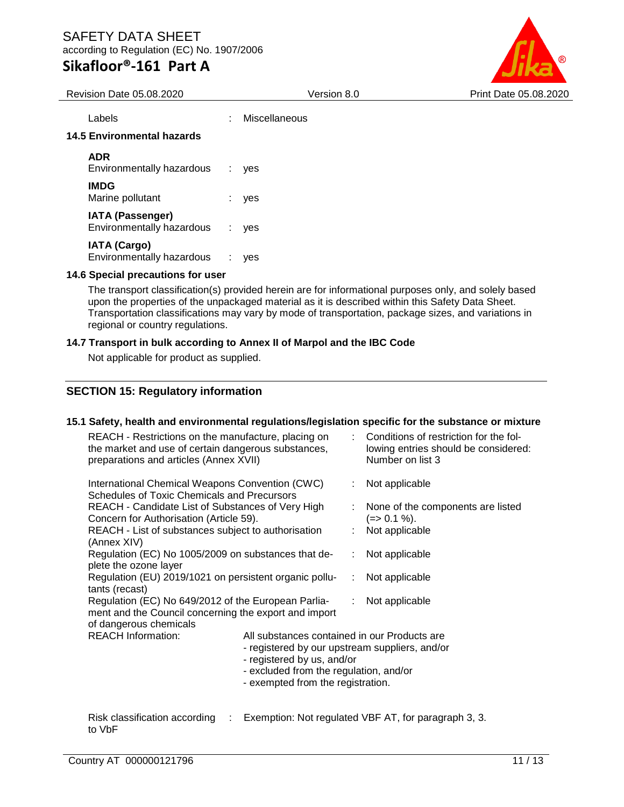

Revision Date 05.08.2020 Version 8.0 Print Date 05.08.2020 Labels : Miscellaneous **14.5 Environmental hazards ADR** Environmentally hazardous : yes **IMDG** Marine pollutant : yes **IATA (Passenger)** Environmentally hazardous : yes **IATA (Cargo)** Environmentally hazardous : yes **14.6 Special precautions for user**

The transport classification(s) provided herein are for informational purposes only, and solely based upon the properties of the unpackaged material as it is described within this Safety Data Sheet. Transportation classifications may vary by mode of transportation, package sizes, and variations in regional or country regulations.

### **14.7 Transport in bulk according to Annex II of Marpol and the IBC Code**

Not applicable for product as supplied.

# **SECTION 15: Regulatory information**

### **15.1 Safety, health and environmental regulations/legislation specific for the substance or mixture**

| ann ana en mennoman regarauenoregiorauen epe<br>REACH - Restrictions on the manufacture, placing on<br>the market and use of certain dangerous substances,<br>preparations and articles (Annex XVII)                                                         |  | $\frac{1}{2}$<br>: Conditions of restriction for the fol-<br>lowing entries should be considered:<br>Number on list 3 |                                      |
|--------------------------------------------------------------------------------------------------------------------------------------------------------------------------------------------------------------------------------------------------------------|--|-----------------------------------------------------------------------------------------------------------------------|--------------------------------------|
| International Chemical Weapons Convention (CWC)<br><b>Schedules of Toxic Chemicals and Precursors</b><br>REACH - Candidate List of Substances of Very High<br>Concern for Authorisation (Article 59).<br>REACH - List of substances subject to authorisation |  | : Not applicable<br>None of the components are listed<br>$(=>0.1\%)$ .<br>Not applicable                              |                                      |
| (Annex XIV)<br>Regulation (EC) No 1005/2009 on substances that de-<br>plete the ozone layer                                                                                                                                                                  |  |                                                                                                                       | : Not applicable                     |
| Regulation (EU) 2019/1021 on persistent organic pollu-<br>tants (recast)<br>Regulation (EC) No 649/2012 of the European Parlia-<br>ment and the Council concerning the export and import                                                                     |  |                                                                                                                       | : Not applicable<br>: Not applicable |
| of dangerous chemicals                                                                                                                                                                                                                                       |  |                                                                                                                       |                                      |
| <b>REACH Information:</b><br>All substances contained in our Products are<br>- registered by our upstream suppliers, and/or<br>- registered by us, and/or<br>- excluded from the regulation, and/or<br>- exempted from the registration.                     |  |                                                                                                                       |                                      |
| Diels elegeification according  Evemption: Net requieted VDE AT for percepant 2. 2.                                                                                                                                                                          |  |                                                                                                                       |                                      |

Risk classification according : Exemption: Not regulated VBF AT, for paragraph 3, 3.to VbF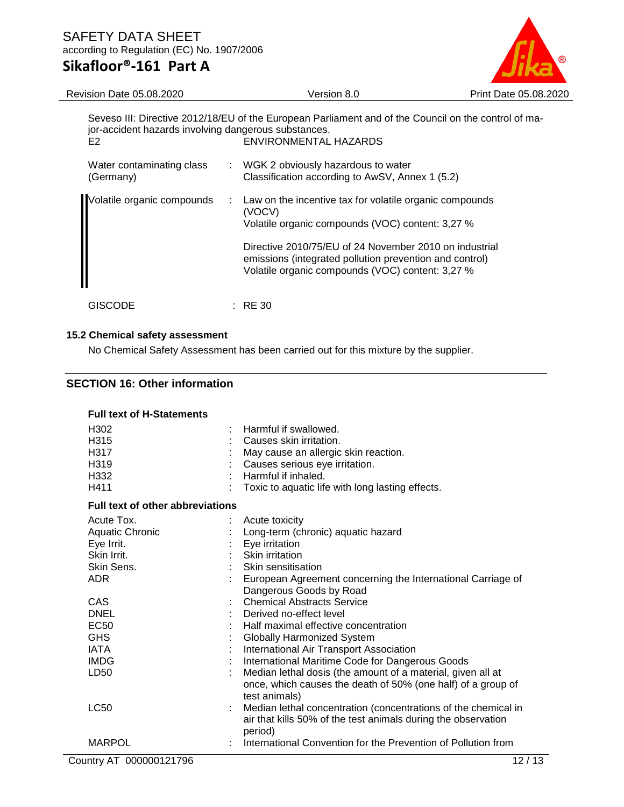

Volatile organic compounds (VOC) content: 3,27 %

| Seveso III: Directive 2012/18/EU of the European Parliament and of the Council on the control of ma-<br>jor-accident hazards involving dangerous substances.<br>ENVIRONMENTAL HAZARDS<br>E <sub>2</sub> |  |                                                                                                                       |  |  |
|---------------------------------------------------------------------------------------------------------------------------------------------------------------------------------------------------------|--|-----------------------------------------------------------------------------------------------------------------------|--|--|
| Water contaminating class<br>(Germany)                                                                                                                                                                  |  | : WGK 2 obviously hazardous to water<br>Classification according to AwSV, Annex 1 (5.2)                               |  |  |
| Volatile organic compounds                                                                                                                                                                              |  | Law on the incentive tax for volatile organic compounds<br>(VOCV)<br>Volatile organic compounds (VOC) content: 3,27 % |  |  |
|                                                                                                                                                                                                         |  | Directive 2010/75/EU of 24 November 2010 on industrial<br>emissions (integrated pollution prevention and control)     |  |  |

GISCODE : RE 30

#### **15.2 Chemical safety assessment**

No Chemical Safety Assessment has been carried out for this mixture by the supplier.

#### **SECTION 16: Other information**

| <b>Full text of H-Statements</b>        |  |                                                                                                                                                             |  |  |
|-----------------------------------------|--|-------------------------------------------------------------------------------------------------------------------------------------------------------------|--|--|
| H <sub>302</sub><br>H315<br>H317        |  | Harmful if swallowed.<br>Causes skin irritation.<br>May cause an allergic skin reaction.                                                                    |  |  |
| H319                                    |  | Causes serious eye irritation.                                                                                                                              |  |  |
| H <sub>332</sub>                        |  | Harmful if inhaled.                                                                                                                                         |  |  |
| H411                                    |  | Toxic to aquatic life with long lasting effects.                                                                                                            |  |  |
| <b>Full text of other abbreviations</b> |  |                                                                                                                                                             |  |  |
| Acute Tox.                              |  | Acute toxicity                                                                                                                                              |  |  |
| Aquatic Chronic                         |  | Long-term (chronic) aquatic hazard                                                                                                                          |  |  |
| Eye Irrit.                              |  | Eye irritation                                                                                                                                              |  |  |
| Skin Irrit.                             |  | Skin irritation                                                                                                                                             |  |  |
| Skin Sens.                              |  | : Skin sensitisation                                                                                                                                        |  |  |
| ADR.                                    |  | European Agreement concerning the International Carriage of<br>Dangerous Goods by Road                                                                      |  |  |
| <b>CAS</b>                              |  | <b>Chemical Abstracts Service</b>                                                                                                                           |  |  |
| <b>DNEL</b>                             |  | Derived no-effect level                                                                                                                                     |  |  |
| <b>EC50</b>                             |  | Half maximal effective concentration                                                                                                                        |  |  |
| <b>GHS</b>                              |  | <b>Globally Harmonized System</b>                                                                                                                           |  |  |
| <b>IATA</b>                             |  | International Air Transport Association                                                                                                                     |  |  |
| <b>IMDG</b>                             |  | International Maritime Code for Dangerous Goods                                                                                                             |  |  |
| LD50                                    |  | Median lethal dosis (the amount of a material, given all at<br>once, which causes the death of 50% (one half) of a group of                                 |  |  |
| <b>LC50</b>                             |  | test animals)<br>Median lethal concentration (concentrations of the chemical in<br>air that kills 50% of the test animals during the observation<br>period) |  |  |
| <b>MARPOL</b>                           |  | International Convention for the Prevention of Pollution from                                                                                               |  |  |